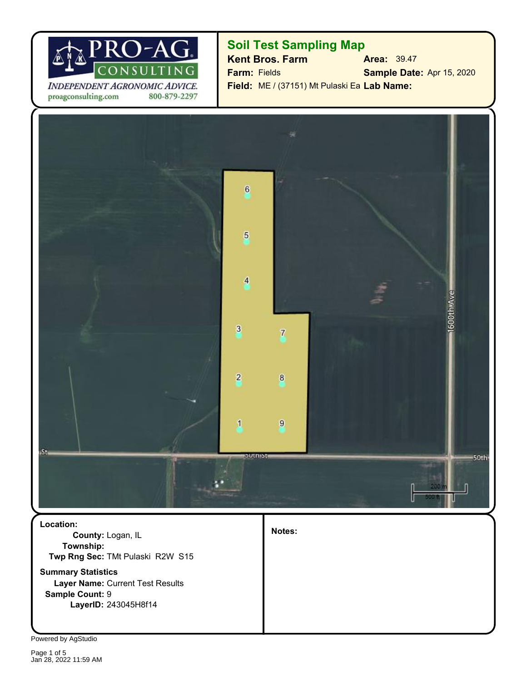

INDEPENDENT AGRONOMIC ADVICE. proagconsulting.com 800-879-2297

## **Soil Test Sampling Map**

**Kent Bros. Farm Area:** 39.47 **Sample Date:** Apr 15, 2020 Field: ME / (37151) Mt Pulaski Ea Lab Name: **Farm:** Fields



**Layer Name:** Current Test Results **Summary Statistics Twp Rng Sec:** TMt Pulaski R2W S15 **County:** Logan, IL **Location: Township:**

**LayerID:** 243045H8f14

**Notes:**

Powered by AgStudio

**Sample Count:** 9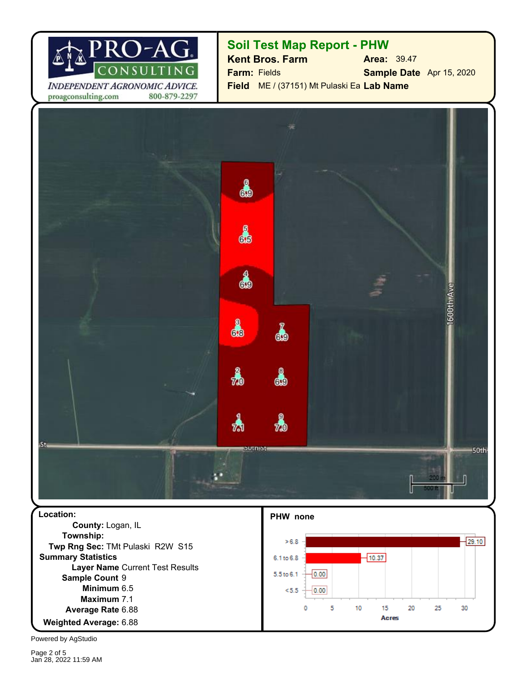

**Soil Test Map Report - PHW**

**Sample Date** Apr 15, 2020 **Field** ME / (37151) Mt Pulaski Ea **Lab Name Farm:** Fields **Kent Bros. Farm Area:** 39.47

ஃ ക 4 ஃ 1 å ക 73  $7.0$ .St. **BUTHER** 50th

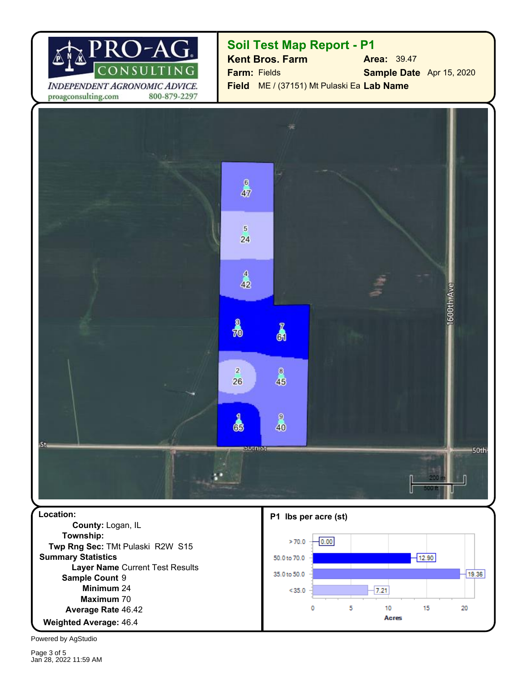

**Soil Test Map Report - P1**

**Sample Date** Apr 15, 2020 **Field** ME / (37151) Mt Pulaski Ea **Lab Name Farm:** Fields **Kent Bros. Farm Area:** 39.47

 $6$ 47  $\sqrt{5}$ 24  $\overline{4}$  $42$ 600th Ave 鳥 Å  $\sqrt{2}$  $\mathbf{B}$ 26 46  $\mathbf{9}$ 8 40 .St. **SULTIST** 50th

**Location: P1 lbs per acre (st) County:** Logan, IL **Township:**  $-0.00$  $>70.0$ **Twp Rng Sec:** TMt Pulaski R2W S15 **Summary Statistics**  $-12.90$ 50.0 to 70.0 **Layer Name** Current Test Results 35.0 to 50.0  $19.36$ Sample Count 9 24 **Minimum**  $< 35.0$  $-7.21$ **Maximum** 70 0 5 10 15 20 Average Rate 46.42 **Acres** 46.4 **Weighted Average:**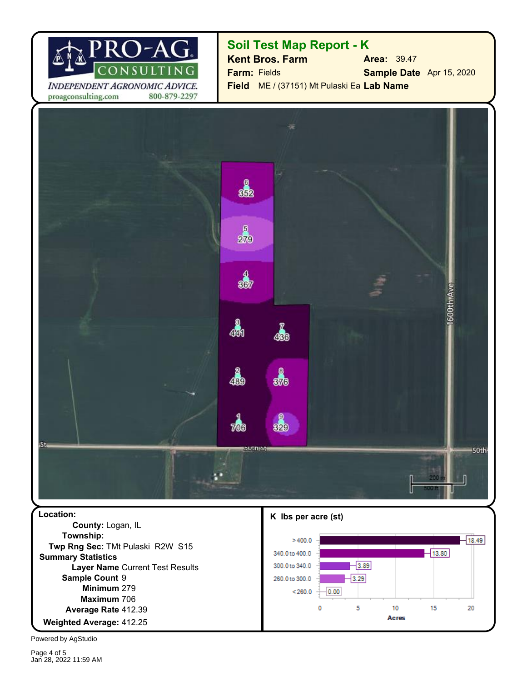

## **Soil Test Map Report - K**

**Sample Date** Apr 15, 2020 **Field** ME / (37151) Mt Pulaski Ea **Lab Name Farm:** Fields **Kent Bros. Farm Area:** 39.47

82 5 279  $\frac{4}{33}$ Oth Ave த் 48 ஃ 439 2  $\pi$ .St. **butnist** 50th

**Township:** 279 **Minimum** 412.25 **Weighted Average: Average Rate 412.39 Maximum** 706 Sample Count 9 **Layer Name** Current Test Results **Summary Statistics Twp Rng Sec:** TMt Pulaski R2W S15 **Location: K lbs per acre (st) County:** Logan, IL